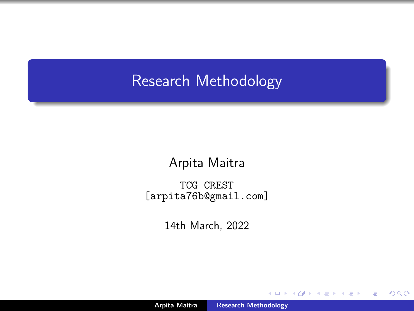### <span id="page-0-0"></span>Research Methodology

Arpita Maitra

TCG CREST [arpita76b@gmail.com]

14th March, 2022

 $\leftarrow$   $\Box$ 

 $2Q$ 

€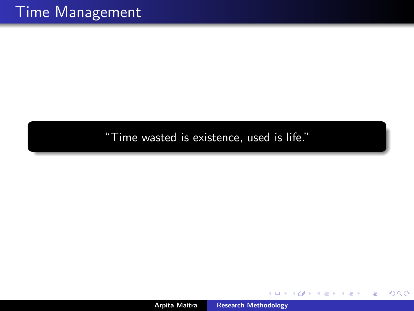"Time wasted is existence, used is life."

 $\leftarrow$   $\Box$   $\rightarrow$ 

 $\sim$ 

重

Ε

 $299$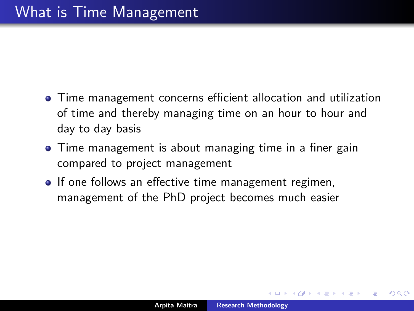- Time management concerns efficient allocation and utilization of time and thereby managing time on an hour to hour and day to day basis
- Time management is about managing time in a finer gain compared to project management
- If one follows an effective time management regimen, management of the PhD project becomes much easier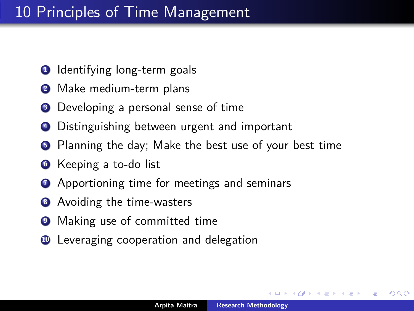### 10 Principles of Time Management

- Identifying long-term goals
- Make medium-term plans
- Developing a personal sense of time
- Distinguishing between urgent and important
- Planning the day; Make the best use of your best time
- Keeping a to-do list
- Apportioning time for meetings and seminars
- Avoiding the time-wasters
- Making use of committed time
- Leveraging cooperation and delegation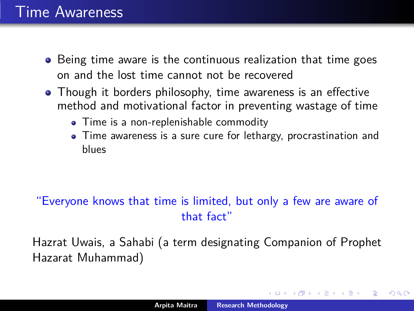### Time Awareness

- Being time aware is the continuous realization that time goes on and the lost time cannot not be recovered
- Though it borders philosophy, time awareness is an effective method and motivational factor in preventing wastage of time
	- Time is a non-replenishable commodity
	- Time awareness is a sure cure for lethargy, procrastination and blues

### "Everyone knows that time is limited, but only a few are aware of that fact"

Hazrat Uwais, a Sahabi (a term designating Companion of Prophet Hazarat Muhammad)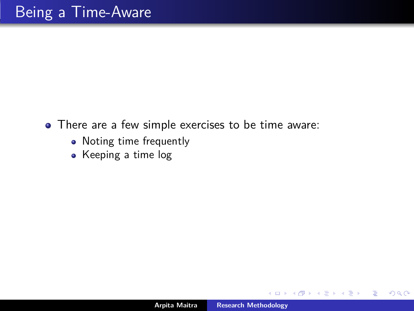- There are a few simple exercises to be time aware:
	- Noting time frequently
	- Keeping a time log

 $\leftarrow$   $\Box$ 

 $\left\{ \begin{array}{ccc} \overline{a} & \overline{b} & \overline{c} & \overline{d} \\ \overline{c} & \overline{c} & \overline{d} & \overline{d} \end{array} \right.$ 

 $2Q$ 

€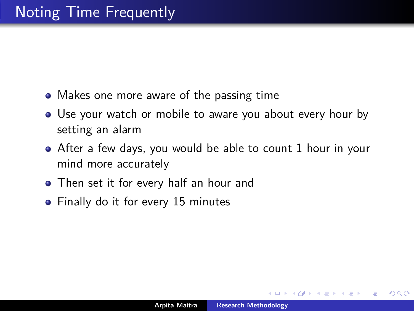- Makes one more aware of the passing time
- Use your watch or mobile to aware you about every hour by setting an alarm
- After a few days, you would be able to count 1 hour in your mind more accurately
- Then set it for every half an hour and
- Finally do it for every 15 minutes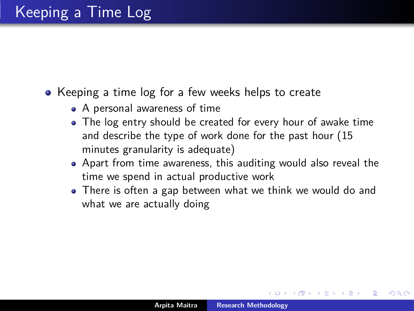- Keeping a time log for a few weeks helps to create
	- A personal awareness of time
	- The log entry should be created for every hour of awake time and describe the type of work done for the past hour (15 minutes granularity is adequate)
	- Apart from time awareness, this auditing would also reveal the time we spend in actual productive work
	- There is often a gap between what we think we would do and what we are actually doing

∽≏ດ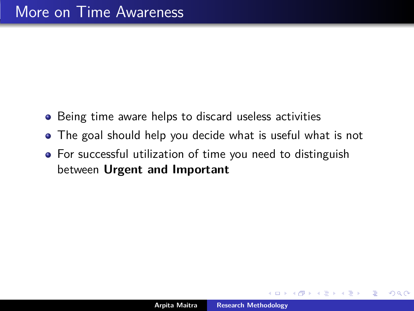- Being time aware helps to discard useless activities
- The goal should help you decide what is useful what is not
- For successful utilization of time you need to distinguish between **Urgent and Important**

 $2Q$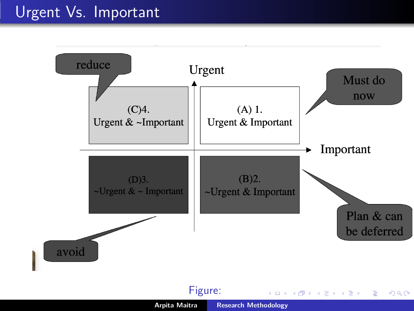### Urgent Vs. Important



メロメ メタメ メミメ メミメ

重

 $299$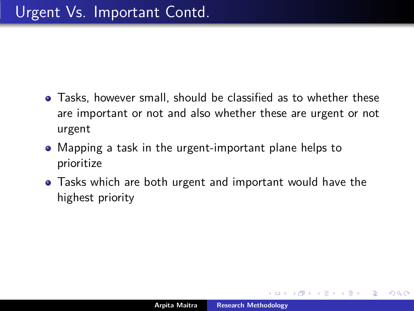- Tasks, however small, should be classified as to whether these are important or not and also whether these are urgent or not urgent
- Mapping a task in the urgent-important plane helps to prioritize
- Tasks which are both urgent and important would have the highest priority

 $2Q$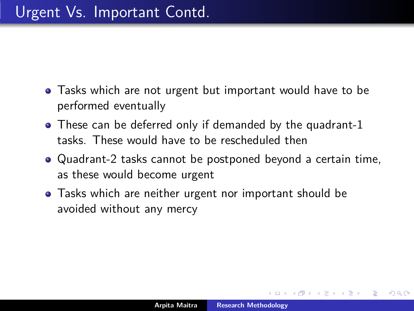- Tasks which are not urgent but important would have to be performed eventually
- These can be deferred only if demanded by the quadrant-1 tasks. These would have to be rescheduled then
- Quadrant-2 tasks cannot be postponed beyond a certain time, as these would become urgent
- **•** Tasks which are neither urgent nor important should be avoided without any mercy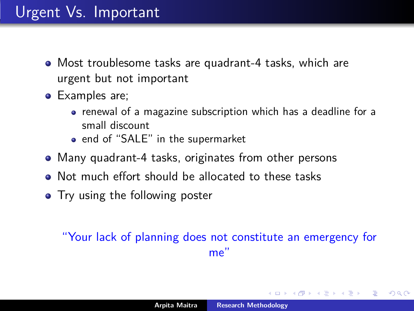## Urgent Vs. Important

- Most troublesome tasks are quadrant-4 tasks, which are urgent but not important
- Examples are;
	- renewal of a magazine subscription which has a deadline for a small discount
	- end of "SALE" in the supermarket
- Many quadrant-4 tasks, originates from other persons
- Not much effort should be allocated to these tasks
- Try using the following poster

#### "Your lack of planning does not constitute an emergency for me"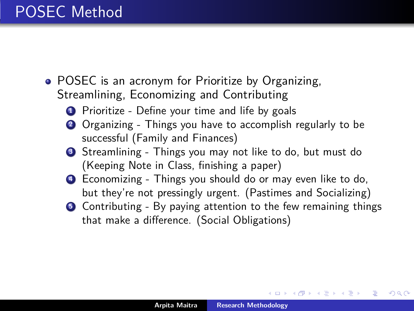# POSEC Method

- POSEC is an acronym for Prioritize by Organizing, Streamlining, Economizing and Contributing
	- **1** Prioritize Define your time and life by goals
	- **<sup>2</sup>** Organizing Things you have to accomplish regularly to be successful (Family and Finances)
	- **<sup>3</sup>** Streamlining Things you may not like to do, but must do (Keeping Note in Class, finishing a paper)
	- **<sup>4</sup>** Economizing Things you should do or may even like to do, but they're not pressingly urgent. (Pastimes and Socializing)
	- **6** Contributing By paying attention to the few remaining things that make a difference. (Social Obligations)

K ロ ⊁ K 倒 ≯ K ミ ⊁ K ミ ≯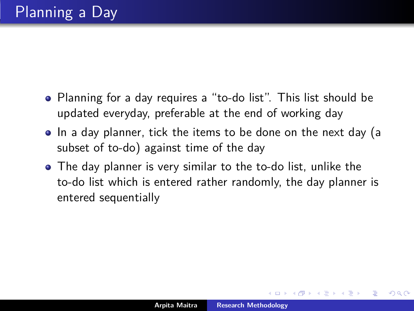- Planning for a day requires a "to-do list". This list should be updated everyday, preferable at the end of working day
- In a day planner, tick the items to be done on the next day (a subset of to-do) against time of the day
- The day planner is very similar to the to-do list, unlike the to-do list which is entered rather randomly, the day planner is entered sequentially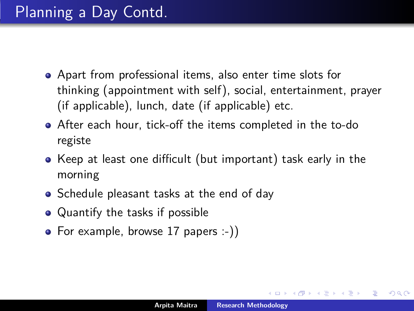- Apart from professional items, also enter time slots for thinking (appointment with self), social, entertainment, prayer (if applicable), lunch, date (if applicable) etc.
- After each hour, tick-off the items completed in the to-do registe
- Keep at least one difficult (but important) task early in the morning
- Schedule pleasant tasks at the end of day
- Quantify the tasks if possible
- For example, browse 17 papers :-))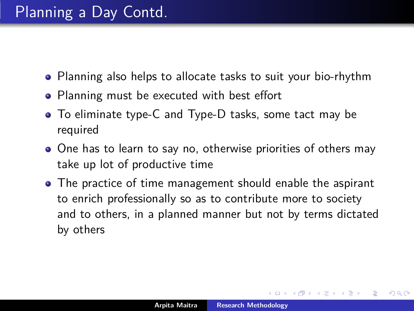- Planning also helps to allocate tasks to suit your bio-rhythm
- Planning must be executed with best effort
- To eliminate type-C and Type-D tasks, some tact may be required
- One has to learn to say no, otherwise priorities of others may take up lot of productive time
- The practice of time management should enable the aspirant to enrich professionally so as to contribute more to society and to others, in a planned manner but not by terms dictated by others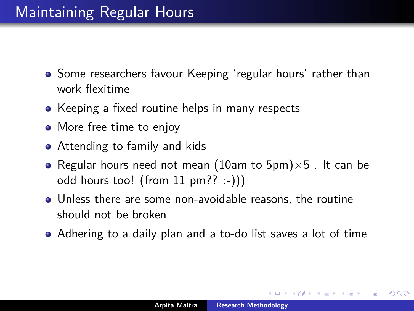- Some researchers favour Keeping 'regular hours' rather than work flexitime
- Keeping a fixed routine helps in many respects
- More free time to enjoy
- Attending to family and kids
- Regular hours need not mean (10am to  $5pm$ ) × 5. It can be odd hours too! (from 11 pm?? :-)))
- Unless there are some non-avoidable reasons, the routine should not be broken
- Adhering to a daily plan and a to-do list saves a lot of time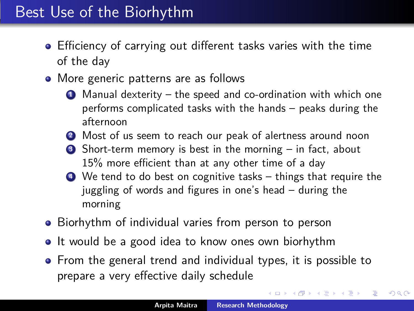- Efficiency of carrying out different tasks varies with the time of the day
- More generic patterns are as follows
	- **<sup>1</sup>** Manual dexterity the speed and co-ordination with which one performs complicated tasks with the hands – peaks during the afternoon
	- **<sup>2</sup>** Most of us seem to reach our peak of alertness around noon
	- **<sup>3</sup>** Short-term memory is best in the morning in fact, about 15% more efficient than at any other time of a day
	- **<sup>4</sup>** We tend to do best on cognitive tasks things that require the juggling of words and figures in one's head – during the morning
- Biorhythm of individual varies from person to person
- It would be a good idea to know ones own biorhythm
- From the general trend and individual types, it is possible to prepare a very effective daily schedule

**≮ロト ⊀母 ト ⊀ ヨ ト ⊀ ヨ ト**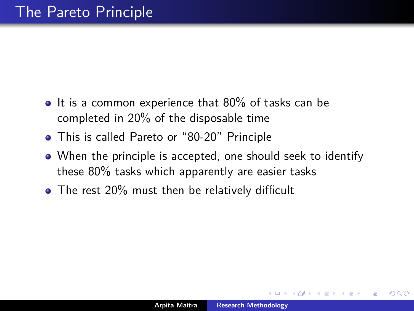- $\bullet$  It is a common experience that 80% of tasks can be completed in 20% of the disposable time
- This is called Pareto or "80-20" Principle
- When the principle is accepted, one should seek to identify these 80% tasks which apparently are easier tasks
- The rest 20% must then be relatively difficult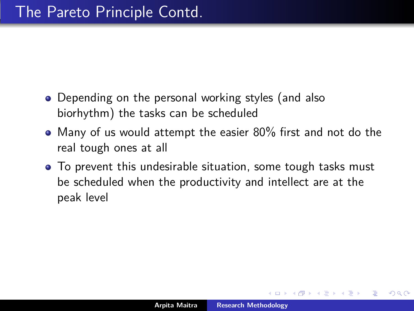- Depending on the personal working styles (and also biorhythm) the tasks can be scheduled
- Many of us would attempt the easier 80% first and not do the real tough ones at all
- To prevent this undesirable situation, some tough tasks must be scheduled when the productivity and intellect are at the peak level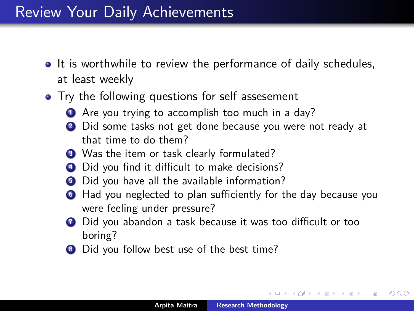### Review Your Daily Achievements

- It is worthwhile to review the performance of daily schedules, at least weekly
- Try the following questions for self assesement
	- **1** Are you trying to accomplish too much in a day?
	- **<sup>2</sup>** Did some tasks not get done because you were not ready at that time to do them?
	- **3** Was the item or task clearly formulated?
	- **<sup>4</sup>** Did you find it difficult to make decisions?
	- **5** Did you have all the available information?
	- **<sup>6</sup>** Had you neglected to plan sufficiently for the day because you were feeling under pressure?
	- **7** Did you abandon a task because it was too difficult or too boring?
	- **<sup>8</sup>** Did you follow best use of the best time?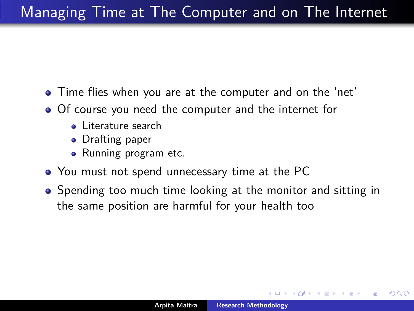- Time flies when you are at the computer and on the 'net'
- Of course you need the computer and the internet for
	- **•** Literature search
	- Drafting paper
	- Running program etc.
- You must not spend unnecessary time at the PC
- Spending too much time looking at the monitor and sitting in the same position are harmful for your health too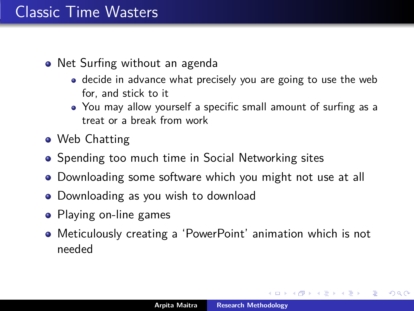### Classic Time Wasters

- Net Surfing without an agenda
	- decide in advance what precisely you are going to use the web for, and stick to it
	- You may allow yourself a specific small amount of surfing as a treat or a break from work
- Web Chatting
- Spending too much time in Social Networking sites
- Downloading some software which you might not use at all
- Downloading as you wish to download
- Playing on-line games
- Meticulously creating a 'PowerPoint' animation which is not needed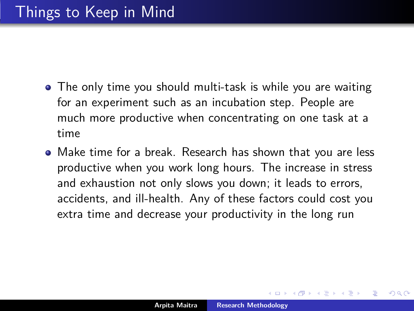- The only time you should multi-task is while you are waiting for an experiment such as an incubation step. People are much more productive when concentrating on one task at a time
- Make time for a break. Research has shown that you are less productive when you work long hours. The increase in stress and exhaustion not only slows you down; it leads to errors, accidents, and ill-health. Any of these factors could cost you extra time and decrease your productivity in the long run

∽≏ດ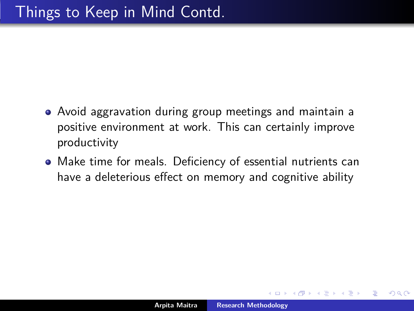- Avoid aggravation during group meetings and maintain a positive environment at work. This can certainly improve productivity
- Make time for meals. Deficiency of essential nutrients can have a deleterious effect on memory and cognitive ability

 $\Omega$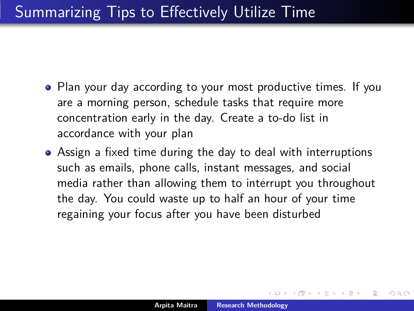- Plan your day according to your most productive times. If you are a morning person, schedule tasks that require more concentration early in the day. Create a to-do list in accordance with your plan
- Assign a fixed time during the day to deal with interruptions such as emails, phone calls, instant messages, and social media rather than allowing them to interrupt you throughout the day. You could waste up to half an hour of your time regaining your focus after you have been disturbed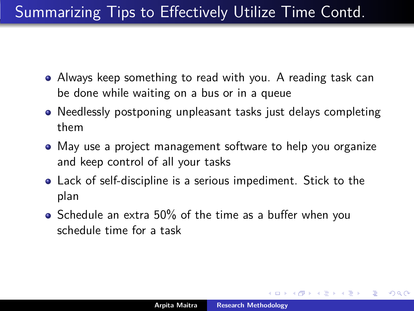# Summarizing Tips to Effectively Utilize Time Contd.

- Always keep something to read with you. A reading task can be done while waiting on a bus or in a queue
- Needlessly postponing unpleasant tasks just delays completing them
- May use a project management software to help you organize and keep control of all your tasks
- Lack of self-discipline is a serious impediment. Stick to the plan
- Schedule an extra 50% of the time as a buffer when you schedule time for a task